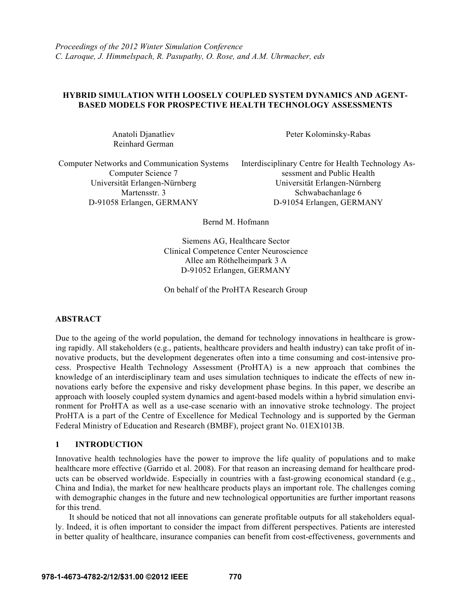# **HYBRID SIMULATION WITH LOOSELY COUPLED SYSTEM DYNAMICS AND AGENT-BASED MODELS FOR PROSPECTIVE HEALTH TECHNOLOGY ASSESSMENTS**

Anatoli Djanatliev Reinhard German

Peter Kolominsky-Rabas

Computer Networks and Communication Systems Computer Science 7 Universität Erlangen-Nürnberg

Interdisciplinary Centre for Health Technology Assessment and Public Health Universität Erlangen-Nürnberg Martensstr. 3 Schwabachanlage 6 D-91058 Erlangen, GERMANY D-91054 Erlangen, GERMANY

Bernd M. Hofmann

Siemens AG, Healthcare Sector Clinical Competence Center Neuroscience Allee am Röthelheimpark 3 A D-91052 Erlangen, GERMANY

On behalf of the ProHTA Research Group

# **ABSTRACT**

Due to the ageing of the world population, the demand for technology innovations in healthcare is growing rapidly. All stakeholders (e.g., patients, healthcare providers and health industry) can take profit of innovative products, but the development degenerates often into a time consuming and cost-intensive process. Prospective Health Technology Assessment (ProHTA) is a new approach that combines the knowledge of an interdisciplinary team and uses simulation techniques to indicate the effects of new innovations early before the expensive and risky development phase begins. In this paper, we describe an approach with loosely coupled system dynamics and agent-based models within a hybrid simulation environment for ProHTA as well as a use-case scenario with an innovative stroke technology. The project ProHTA is a part of the Centre of Excellence for Medical Technology and is supported by the German Federal Ministry of Education and Research (BMBF), project grant No. 01EX1013B.

# **1 INTRODUCTION**

Innovative health technologies have the power to improve the life quality of populations and to make healthcare more effective (Garrido et al. 2008). For that reason an increasing demand for healthcare products can be observed worldwide. Especially in countries with a fast-growing economical standard (e.g., China and India), the market for new healthcare products plays an important role. The challenges coming with demographic changes in the future and new technological opportunities are further important reasons for this trend.

 It should be noticed that not all innovations can generate profitable outputs for all stakeholders equally. Indeed, it is often important to consider the impact from different perspectives. Patients are interested in better quality of healthcare, insurance companies can benefit from cost-effectiveness, governments and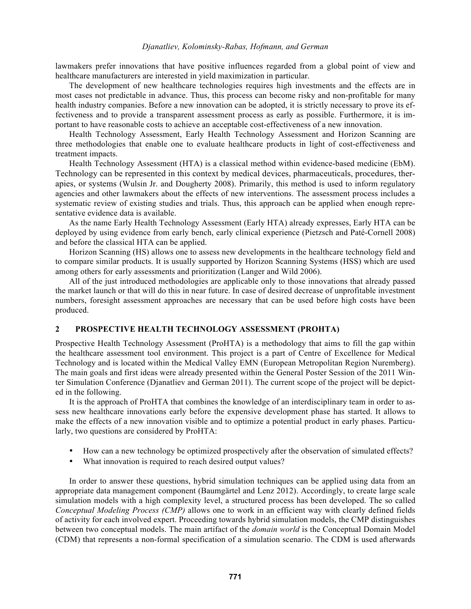lawmakers prefer innovations that have positive influences regarded from a global point of view and healthcare manufacturers are interested in yield maximization in particular.

 The development of new healthcare technologies requires high investments and the effects are in most cases not predictable in advance. Thus, this process can become risky and non-profitable for many health industry companies. Before a new innovation can be adopted, it is strictly necessary to prove its effectiveness and to provide a transparent assessment process as early as possible. Furthermore, it is important to have reasonable costs to achieve an acceptable cost-effectiveness of a new innovation.

 Health Technology Assessment, Early Health Technology Assessment and Horizon Scanning are three methodologies that enable one to evaluate healthcare products in light of cost-effectiveness and treatment impacts.

 Health Technology Assessment (HTA) is a classical method within evidence-based medicine (EbM). Technology can be represented in this context by medical devices, pharmaceuticals, procedures, therapies, or systems (Wulsin Jr. and Dougherty 2008). Primarily, this method is used to inform regulatory agencies and other lawmakers about the effects of new interventions. The assessment process includes a systematic review of existing studies and trials. Thus, this approach can be applied when enough representative evidence data is available.

 As the name Early Health Technology Assessment (Early HTA) already expresses, Early HTA can be deployed by using evidence from early bench, early clinical experience (Pietzsch and Paté-Cornell 2008) and before the classical HTA can be applied.

 Horizon Scanning (HS) allows one to assess new developments in the healthcare technology field and to compare similar products. It is usually supported by Horizon Scanning Systems (HSS) which are used among others for early assessments and prioritization (Langer and Wild 2006).

 All of the just introduced methodologies are applicable only to those innovations that already passed the market launch or that will do this in near future. In case of desired decrease of unprofitable investment numbers, foresight assessment approaches are necessary that can be used before high costs have been produced.

### **2 PROSPECTIVE HEALTH TECHNOLOGY ASSESSMENT (PROHTA)**

Prospective Health Technology Assessment (ProHTA) is a methodology that aims to fill the gap within the healthcare assessment tool environment. This project is a part of Centre of Excellence for Medical Technology and is located within the Medical Valley EMN (European Metropolitan Region Nuremberg). The main goals and first ideas were already presented within the General Poster Session of the 2011 Winter Simulation Conference (Djanatliev and German 2011). The current scope of the project will be depicted in the following.

It is the approach of ProHTA that combines the knowledge of an interdisciplinary team in order to assess new healthcare innovations early before the expensive development phase has started. It allows to make the effects of a new innovation visible and to optimize a potential product in early phases. Particularly, two questions are considered by ProHTA:

- How can a new technology be optimized prospectively after the observation of simulated effects?
- What innovation is required to reach desired output values?

 In order to answer these questions, hybrid simulation techniques can be applied using data from an appropriate data management component (Baumgärtel and Lenz 2012). Accordingly, to create large scale simulation models with a high complexity level, a structured process has been developed. The so called *Conceptual Modeling Process (CMP)* allows one to work in an efficient way with clearly defined fields of activity for each involved expert. Proceeding towards hybrid simulation models, the CMP distinguishes between two conceptual models. The main artifact of the *domain world* is the Conceptual Domain Model (CDM) that represents a non-formal specification of a simulation scenario. The CDM is used afterwards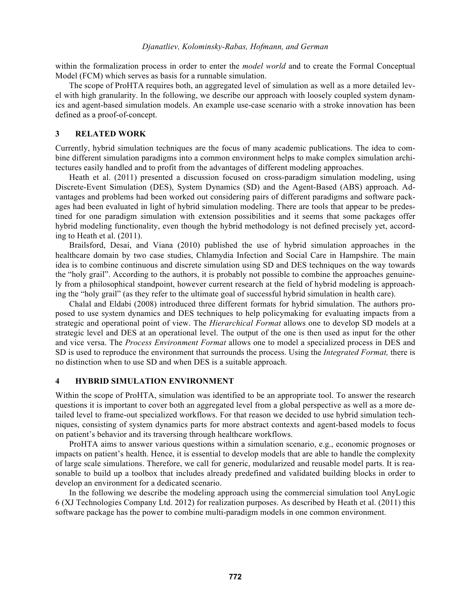within the formalization process in order to enter the *model world* and to create the Formal Conceptual Model (FCM) which serves as basis for a runnable simulation.

 The scope of ProHTA requires both, an aggregated level of simulation as well as a more detailed level with high granularity. In the following, we describe our approach with loosely coupled system dynamics and agent-based simulation models. An example use-case scenario with a stroke innovation has been defined as a proof-of-concept.

#### **3 RELATED WORK**

Currently, hybrid simulation techniques are the focus of many academic publications. The idea to combine different simulation paradigms into a common environment helps to make complex simulation architectures easily handled and to profit from the advantages of different modeling approaches.

 Heath et al. (2011) presented a discussion focused on cross-paradigm simulation modeling, using Discrete-Event Simulation (DES), System Dynamics (SD) and the Agent-Based (ABS) approach. Advantages and problems had been worked out considering pairs of different paradigms and software packages had been evaluated in light of hybrid simulation modeling. There are tools that appear to be predestined for one paradigm simulation with extension possibilities and it seems that some packages offer hybrid modeling functionality, even though the hybrid methodology is not defined precisely yet, according to Heath et al. (2011).

 Brailsford, Desai, and Viana (2010) published the use of hybrid simulation approaches in the healthcare domain by two case studies, Chlamydia Infection and Social Care in Hampshire. The main idea is to combine continuous and discrete simulation using SD and DES techniques on the way towards the "holy grail". According to the authors, it is probably not possible to combine the approaches genuinely from a philosophical standpoint, however current research at the field of hybrid modeling is approaching the "holy grail" (as they refer to the ultimate goal of successful hybrid simulation in health care).

 Chalal and Eldabi (2008) introduced three different formats for hybrid simulation. The authors proposed to use system dynamics and DES techniques to help policymaking for evaluating impacts from a strategic and operational point of view. The *Hierarchical Format* allows one to develop SD models at a strategic level and DES at an operational level. The output of the one is then used as input for the other and vice versa. The *Process Environment Format* allows one to model a specialized process in DES and SD is used to reproduce the environment that surrounds the process. Using the *Integrated Format,* there is no distinction when to use SD and when DES is a suitable approach.

### **4 HYBRID SIMULATION ENVIRONMENT**

Within the scope of ProHTA, simulation was identified to be an appropriate tool. To answer the research questions it is important to cover both an aggregated level from a global perspective as well as a more detailed level to frame-out specialized workflows. For that reason we decided to use hybrid simulation techniques, consisting of system dynamics parts for more abstract contexts and agent-based models to focus on patient's behavior and its traversing through healthcare workflows.

 ProHTA aims to answer various questions within a simulation scenario, e.g., economic prognoses or impacts on patient's health. Hence, it is essential to develop models that are able to handle the complexity of large scale simulations. Therefore, we call for generic, modularized and reusable model parts. It is reasonable to build up a toolbox that includes already predefined and validated building blocks in order to develop an environment for a dedicated scenario.

In the following we describe the modeling approach using the commercial simulation tool AnyLogic 6 (XJ Technologies Company Ltd. 2012) for realization purposes. As described by Heath et al. (2011) this software package has the power to combine multi-paradigm models in one common environment.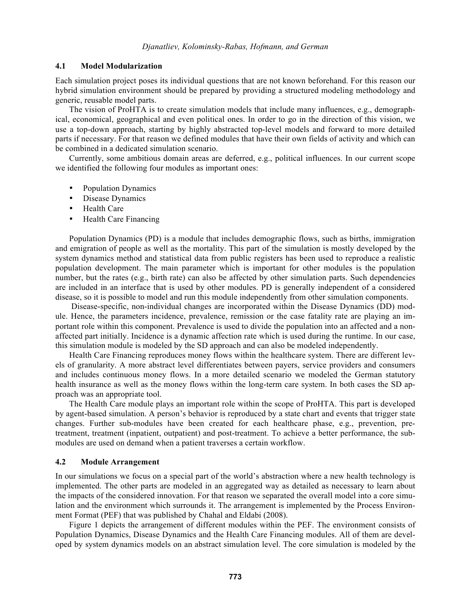#### **4.1 Model Modularization**

Each simulation project poses its individual questions that are not known beforehand. For this reason our hybrid simulation environment should be prepared by providing a structured modeling methodology and generic, reusable model parts.

 The vision of ProHTA is to create simulation models that include many influences, e.g., demographical, economical, geographical and even political ones. In order to go in the direction of this vision, we use a top-down approach, starting by highly abstracted top-level models and forward to more detailed parts if necessary. For that reason we defined modules that have their own fields of activity and which can be combined in a dedicated simulation scenario.

 Currently, some ambitious domain areas are deferred, e.g., political influences. In our current scope we identified the following four modules as important ones:

- Population Dynamics
- Disease Dynamics
- Health Care
- Health Care Financing

Population Dynamics (PD) is a module that includes demographic flows, such as births, immigration and emigration of people as well as the mortality. This part of the simulation is mostly developed by the system dynamics method and statistical data from public registers has been used to reproduce a realistic population development. The main parameter which is important for other modules is the population number, but the rates (e.g., birth rate) can also be affected by other simulation parts. Such dependencies are included in an interface that is used by other modules. PD is generally independent of a considered disease, so it is possible to model and run this module independently from other simulation components.

 Disease-specific, non-individual changes are incorporated within the Disease Dynamics (DD) module. Hence, the parameters incidence, prevalence, remission or the case fatality rate are playing an important role within this component. Prevalence is used to divide the population into an affected and a nonaffected part initially. Incidence is a dynamic affection rate which is used during the runtime. In our case, this simulation module is modeled by the SD approach and can also be modeled independently.

Health Care Financing reproduces money flows within the healthcare system. There are different levels of granularity. A more abstract level differentiates between payers, service providers and consumers and includes continuous money flows. In a more detailed scenario we modeled the German statutory health insurance as well as the money flows within the long-term care system. In both cases the SD approach was an appropriate tool.

The Health Care module plays an important role within the scope of ProHTA. This part is developed by agent-based simulation. A person's behavior is reproduced by a state chart and events that trigger state changes. Further sub-modules have been created for each healthcare phase, e.g., prevention, pretreatment, treatment (inpatient, outpatient) and post-treatment. To achieve a better performance, the submodules are used on demand when a patient traverses a certain workflow.

## **4.2 Module Arrangement**

In our simulations we focus on a special part of the world's abstraction where a new health technology is implemented. The other parts are modeled in an aggregated way as detailed as necessary to learn about the impacts of the considered innovation. For that reason we separated the overall model into a core simulation and the environment which surrounds it. The arrangement is implemented by the Process Environment Format (PEF) that was published by Chahal and Eldabi (2008).

 Figure 1 depicts the arrangement of different modules within the PEF. The environment consists of Population Dynamics, Disease Dynamics and the Health Care Financing modules. All of them are developed by system dynamics models on an abstract simulation level. The core simulation is modeled by the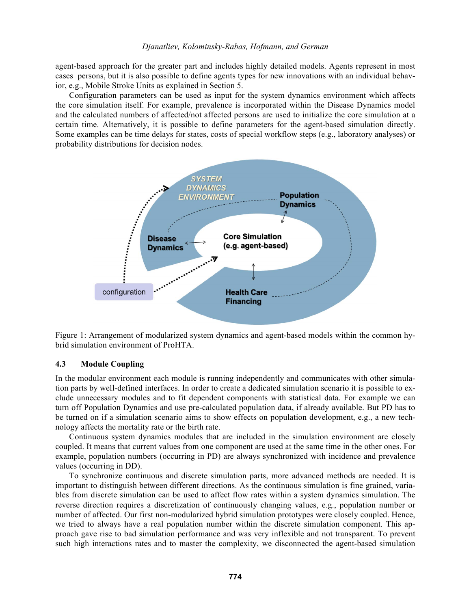agent-based approach for the greater part and includes highly detailed models. Agents represent in most cases persons, but it is also possible to define agents types for new innovations with an individual behavior, e.g., Mobile Stroke Units as explained in Section 5.

 Configuration parameters can be used as input for the system dynamics environment which affects the core simulation itself. For example, prevalence is incorporated within the Disease Dynamics model and the calculated numbers of affected/not affected persons are used to initialize the core simulation at a certain time. Alternatively, it is possible to define parameters for the agent-based simulation directly. Some examples can be time delays for states, costs of special workflow steps (e.g., laboratory analyses) or probability distributions for decision nodes.



Figure 1: Arrangement of modularized system dynamics and agent-based models within the common hybrid simulation environment of ProHTA.

# **4.3 Module Coupling**

In the modular environment each module is running independently and communicates with other simulation parts by well-defined interfaces. In order to create a dedicated simulation scenario it is possible to exclude unnecessary modules and to fit dependent components with statistical data. For example we can turn off Population Dynamics and use pre-calculated population data, if already available. But PD has to be turned on if a simulation scenario aims to show effects on population development, e.g., a new technology affects the mortality rate or the birth rate.

 Continuous system dynamics modules that are included in the simulation environment are closely coupled. It means that current values from one component are used at the same time in the other ones. For example, population numbers (occurring in PD) are always synchronized with incidence and prevalence values (occurring in DD).

 To synchronize continuous and discrete simulation parts, more advanced methods are needed. It is important to distinguish between different directions. As the continuous simulation is fine grained, variables from discrete simulation can be used to affect flow rates within a system dynamics simulation. The reverse direction requires a discretization of continuously changing values, e.g., population number or number of affected. Our first non-modularized hybrid simulation prototypes were closely coupled. Hence, we tried to always have a real population number within the discrete simulation component. This approach gave rise to bad simulation performance and was very inflexible and not transparent. To prevent such high interactions rates and to master the complexity, we disconnected the agent-based simulation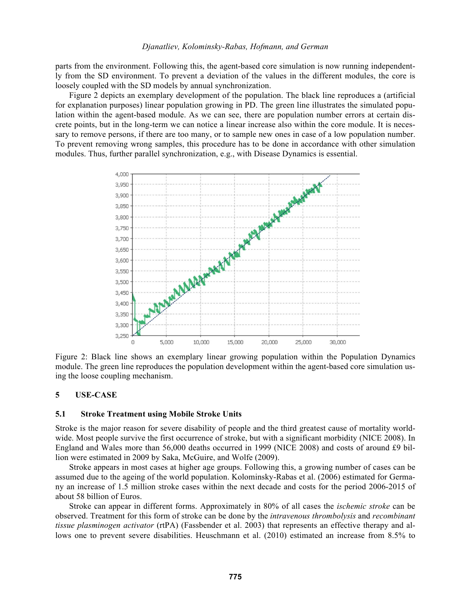parts from the environment. Following this, the agent-based core simulation is now running independently from the SD environment. To prevent a deviation of the values in the different modules, the core is loosely coupled with the SD models by annual synchronization.

 Figure 2 depicts an exemplary development of the population. The black line reproduces a (artificial for explanation purposes) linear population growing in PD. The green line illustrates the simulated population within the agent-based module. As we can see, there are population number errors at certain discrete points, but in the long-term we can notice a linear increase also within the core module. It is necessary to remove persons, if there are too many, or to sample new ones in case of a low population number. To prevent removing wrong samples, this procedure has to be done in accordance with other simulation modules. Thus, further parallel synchronization, e.g., with Disease Dynamics is essential.



Figure 2: Black line shows an exemplary linear growing population within the Population Dynamics module. The green line reproduces the population development within the agent-based core simulation using the loose coupling mechanism.

#### **5 USE-CASE**

#### **5.1 Stroke Treatment using Mobile Stroke Units**

Stroke is the major reason for severe disability of people and the third greatest cause of mortality worldwide. Most people survive the first occurrence of stroke, but with a significant morbidity (NICE 2008). In England and Wales more than 56,000 deaths occurred in 1999 (NICE 2008) and costs of around £9 billion were estimated in 2009 by Saka, McGuire, and Wolfe (2009).

 Stroke appears in most cases at higher age groups. Following this, a growing number of cases can be assumed due to the ageing of the world population. Kolominsky-Rabas et al. (2006) estimated for Germany an increase of 1.5 million stroke cases within the next decade and costs for the period 2006-2015 of about 58 billion of Euros.

 Stroke can appear in different forms. Approximately in 80% of all cases the *ischemic stroke* can be observed. Treatment for this form of stroke can be done by the *intravenous thrombolysis* and *recombinant tissue plasminogen activator* (rtPA) (Fassbender et al. 2003) that represents an effective therapy and allows one to prevent severe disabilities. Heuschmann et al. (2010) estimated an increase from 8.5% to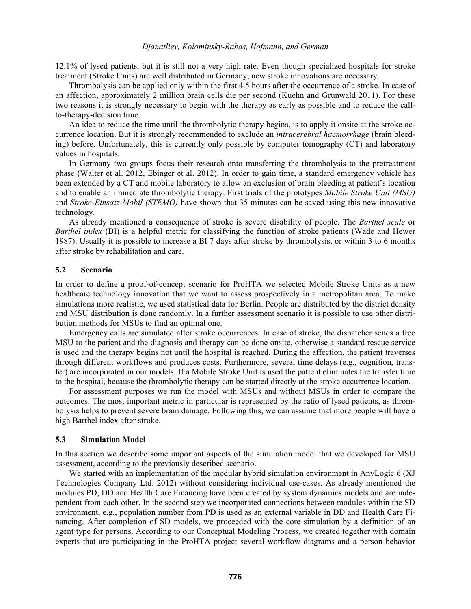12.1% of lysed patients, but it is still not a very high rate. Even though specialized hospitals for stroke treatment (Stroke Units) are well distributed in Germany, new stroke innovations are necessary.

 Thrombolysis can be applied only within the first 4.5 hours after the occurrence of a stroke. In case of an affection, approximately 2 million brain cells die per second (Kuehn and Grunwald 2011). For these two reasons it is strongly necessary to begin with the therapy as early as possible and to reduce the callto-therapy-decision time.

 An idea to reduce the time until the thrombolytic therapy begins, is to apply it onsite at the stroke occurrence location. But it is strongly recommended to exclude an *intracerebral haemorrhage* (brain bleeding) before. Unfortunately, this is currently only possible by computer tomography (CT) and laboratory values in hospitals.

 In Germany two groups focus their research onto transferring the thrombolysis to the pretreatment phase (Walter et al. 2012, Ebinger et al. 2012). In order to gain time, a standard emergency vehicle has been extended by a CT and mobile laboratory to allow an exclusion of brain bleeding at patient's location and to enable an immediate thrombolytic therapy. First trials of the prototypes *Mobile Stroke Unit (MSU)* and *Stroke-Einsatz-Mobil (STEMO)* have shown that 35 minutes can be saved using this new innovative technology.

 As already mentioned a consequence of stroke is severe disability of people. The *Barthel scale* or *Barthel index* (BI) is a helpful metric for classifying the function of stroke patients (Wade and Hewer 1987). Usually it is possible to increase a BI 7 days after stroke by thrombolysis, or within 3 to 6 months after stroke by rehabilitation and care.

### **5.2 Scenario**

In order to define a proof-of-concept scenario for ProHTA we selected Mobile Stroke Units as a new healthcare technology innovation that we want to assess prospectively in a metropolitan area. To make simulations more realistic, we used statistical data for Berlin. People are distributed by the district density and MSU distribution is done randomly. In a further assessment scenario it is possible to use other distribution methods for MSUs to find an optimal one.

 Emergency calls are simulated after stroke occurrences. In case of stroke, the dispatcher sends a free MSU to the patient and the diagnosis and therapy can be done onsite, otherwise a standard rescue service is used and the therapy begins not until the hospital is reached. During the affection, the patient traverses through different workflows and produces costs. Furthermore, several time delays (e.g., cognition, transfer) are incorporated in our models. If a Mobile Stroke Unit is used the patient eliminates the transfer time to the hospital, because the thrombolytic therapy can be started directly at the stroke occurrence location.

 For assessment purposes we run the model with MSUs and without MSUs in order to compare the outcomes. The most important metric in particular is represented by the ratio of lysed patients, as thrombolysis helps to prevent severe brain damage. Following this, we can assume that more people will have a high Barthel index after stroke.

### **5.3 Simulation Model**

In this section we describe some important aspects of the simulation model that we developed for MSU assessment, according to the previously described scenario.

 We started with an implementation of the modular hybrid simulation environment in AnyLogic 6 (XJ Technologies Company Ltd. 2012) without considering individual use-cases. As already mentioned the modules PD, DD and Health Care Financing have been created by system dynamics models and are independent from each other. In the second step we incorporated connections between modules within the SD environment, e.g., population number from PD is used as an external variable in DD and Health Care Financing. After completion of SD models, we proceeded with the core simulation by a definition of an agent type for persons. According to our Conceptual Modeling Process, we created together with domain experts that are participating in the ProHTA project several workflow diagrams and a person behavior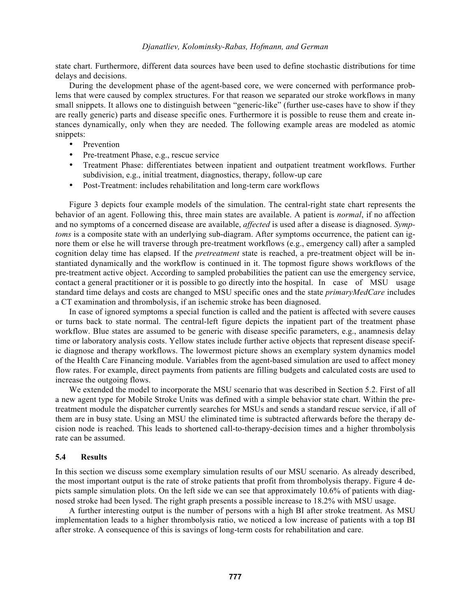state chart. Furthermore, different data sources have been used to define stochastic distributions for time delays and decisions.

 During the development phase of the agent-based core, we were concerned with performance problems that were caused by complex structures. For that reason we separated our stroke workflows in many small snippets. It allows one to distinguish between "generic-like" (further use-cases have to show if they are really generic) parts and disease specific ones. Furthermore it is possible to reuse them and create instances dynamically, only when they are needed. The following example areas are modeled as atomic snippets:

- Prevention
- Pre-treatment Phase, e.g., rescue service
- Treatment Phase: differentiates between inpatient and outpatient treatment workflows. Further subdivision, e.g., initial treatment, diagnostics, therapy, follow-up care
- Post-Treatment: includes rehabilitation and long-term care workflows

 Figure 3 depicts four example models of the simulation. The central-right state chart represents the behavior of an agent. Following this, three main states are available. A patient is *normal*, if no affection and no symptoms of a concerned disease are available, *affected* is used after a disease is diagnosed. *Symptoms* is a composite state with an underlying sub-diagram. After symptoms occurrence, the patient can ignore them or else he will traverse through pre-treatment workflows (e.g., emergency call) after a sampled cognition delay time has elapsed. If the *pretreatment* state is reached, a pre-treatment object will be instantiated dynamically and the workflow is continued in it. The topmost figure shows workflows of the pre-treatment active object. According to sampled probabilities the patient can use the emergency service, contact a general practitioner or it is possible to go directly into the hospital. In case of MSU usage standard time delays and costs are changed to MSU specific ones and the state *primaryMedCare* includes a CT examination and thrombolysis, if an ischemic stroke has been diagnosed.

 In case of ignored symptoms a special function is called and the patient is affected with severe causes or turns back to state normal. The central-left figure depicts the inpatient part of the treatment phase workflow. Blue states are assumed to be generic with disease specific parameters, e.g., anamnesis delay time or laboratory analysis costs. Yellow states include further active objects that represent disease specific diagnose and therapy workflows. The lowermost picture shows an exemplary system dynamics model of the Health Care Financing module. Variables from the agent-based simulation are used to affect money flow rates. For example, direct payments from patients are filling budgets and calculated costs are used to increase the outgoing flows.

We extended the model to incorporate the MSU scenario that was described in Section 5.2. First of all a new agent type for Mobile Stroke Units was defined with a simple behavior state chart. Within the pretreatment module the dispatcher currently searches for MSUs and sends a standard rescue service, if all of them are in busy state. Using an MSU the eliminated time is subtracted afterwards before the therapy decision node is reached. This leads to shortened call-to-therapy-decision times and a higher thrombolysis rate can be assumed.

### **5.4 Results**

In this section we discuss some exemplary simulation results of our MSU scenario. As already described, the most important output is the rate of stroke patients that profit from thrombolysis therapy. Figure 4 depicts sample simulation plots. On the left side we can see that approximately 10.6% of patients with diagnosed stroke had been lysed. The right graph presents a possible increase to 18.2% with MSU usage.

 A further interesting output is the number of persons with a high BI after stroke treatment. As MSU implementation leads to a higher thrombolysis ratio, we noticed a low increase of patients with a top BI after stroke. A consequence of this is savings of long-term costs for rehabilitation and care.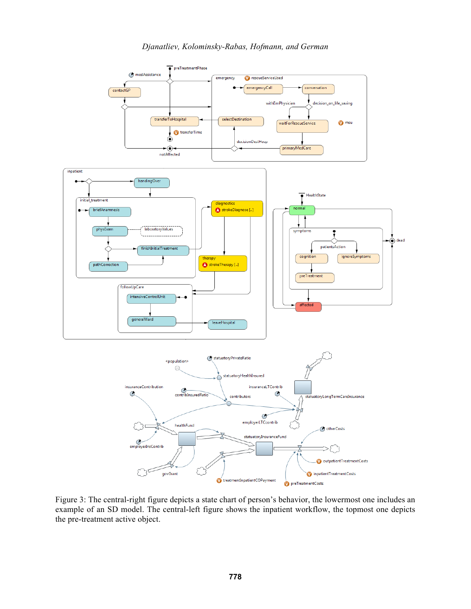



Figure 3: The central-right figure depicts a state chart of person's behavior, the lowermost one includes an example of an SD model. The central-left figure shows the inpatient workflow, the topmost one depicts the pre-treatment active object.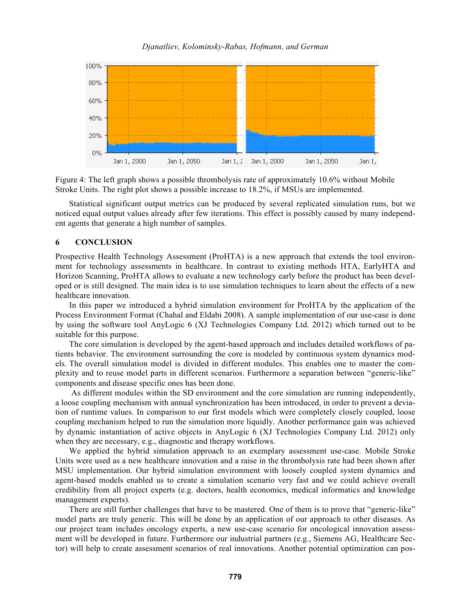

Figure 4: The left graph shows a possible thrombolysis rate of approximately 10.6% without Mobile Stroke Units. The right plot shows a possible increase to 18.2%, if MSUs are implemented.

 Statistical significant output metrics can be produced by several replicated simulation runs, but we noticed equal output values already after few iterations. This effect is possibly caused by many independent agents that generate a high number of samples.

## **6 CONCLUSION**

Prospective Health Technology Assessment (ProHTA) is a new approach that extends the tool environment for technology assessments in healthcare. In contrast to existing methods HTA, EarlyHTA and Horizon Scanning, ProHTA allows to evaluate a new technology early before the product has been developed or is still designed. The main idea is to use simulation techniques to learn about the effects of a new healthcare innovation.

 In this paper we introduced a hybrid simulation environment for ProHTA by the application of the Process Environment Format (Chahal and Eldabi 2008). A sample implementation of our use-case is done by using the software tool AnyLogic 6 (XJ Technologies Company Ltd. 2012) which turned out to be suitable for this purpose.

 The core simulation is developed by the agent-based approach and includes detailed workflows of patients behavior. The environment surrounding the core is modeled by continuous system dynamics models. The overall simulation model is divided in different modules. This enables one to master the complexity and to reuse model parts in different scenarios. Furthermore a separation between "generic-like" components and disease specific ones has been done.

 As different modules within the SD environment and the core simulation are running independently, a loose coupling mechanism with annual synchronization has been introduced, in order to prevent a deviation of runtime values. In comparison to our first models which were completely closely coupled, loose coupling mechanism helped to run the simulation more liquidly. Another performance gain was achieved by dynamic instantiation of active objects in AnyLogic 6 (XJ Technologies Company Ltd. 2012) only when they are necessary, e.g., diagnostic and therapy workflows.

 We applied the hybrid simulation approach to an exemplary assessment use-case. Mobile Stroke Units were used as a new healthcare innovation and a raise in the thrombolysis rate had been shown after MSU implementation. Our hybrid simulation environment with loosely coupled system dynamics and agent-based models enabled us to create a simulation scenario very fast and we could achieve overall credibility from all project experts (e.g. doctors, health economics, medical informatics and knowledge management experts).

 There are still further challenges that have to be mastered. One of them is to prove that "generic-like" model parts are truly generic. This will be done by an application of our approach to other diseases. As our project team includes oncology experts, a new use-case scenario for oncological innovation assessment will be developed in future. Furthermore our industrial partners (e.g., Siemens AG, Healthcare Sector) will help to create assessment scenarios of real innovations. Another potential optimization can pos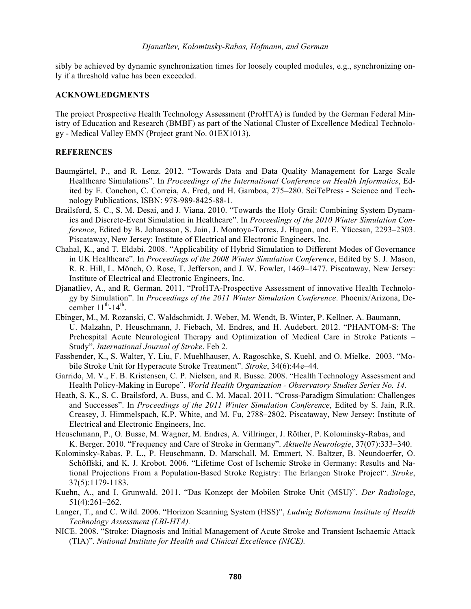sibly be achieved by dynamic synchronization times for loosely coupled modules, e.g., synchronizing only if a threshold value has been exceeded.

# **ACKNOWLEDGMENTS**

The project Prospective Health Technology Assessment (ProHTA) is funded by the German Federal Ministry of Education and Research (BMBF) as part of the National Cluster of Excellence Medical Technology - Medical Valley EMN (Project grant No. 01EX1013).

### **REFERENCES**

- Baumgärtel, P., and R. Lenz. 2012. "Towards Data and Data Quality Management for Large Scale Healthcare Simulations". In *Proceedings of the International Conference on Health Informatics*, Edited by E. Conchon, C. Correia, A. Fred, and H. Gamboa, 275–280. SciTePress - Science and Technology Publications, ISBN: 978-989-8425-88-1.
- Brailsford, S. C., S. M. Desai, and J. Viana. 2010. "Towards the Holy Grail: Combining System Dynamics and Discrete-Event Simulation in Healthcare". In *Proceedings of the 2010 Winter Simulation Conference*, Edited by B. Johansson, S. Jain, J. Montoya-Torres, J. Hugan, and E. Yücesan, 2293–2303. Piscataway, New Jersey: Institute of Electrical and Electronic Engineers, Inc.
- Chahal, K., and T. Eldabi. 2008. "Applicability of Hybrid Simulation to Different Modes of Governance in UK Healthcare". In *Proceedings of the 2008 Winter Simulation Conference*, Edited by S. J. Mason, R. R. Hill, L. Mönch, O. Rose, T. Jefferson, and J. W. Fowler, 1469–1477. Piscataway, New Jersey: Institute of Electrical and Electronic Engineers, Inc.
- Djanatliev, A., and R. German. 2011. "ProHTA-Prospective Assessment of innovative Health Technology by Simulation". In *Proceedings of the 2011 Winter Simulation Conference*. Phoenix/Arizona, December  $11<sup>th</sup>$ -14<sup>th</sup>.
- Ebinger, M., M. Rozanski, C. Waldschmidt, J. Weber, M. Wendt, B. Winter, P. Kellner, A. Baumann, U. Malzahn, P. Heuschmann, J. Fiebach, M. Endres, and H. Audebert. 2012. "PHANTOM-S: The Prehospital Acute Neurological Therapy and Optimization of Medical Care in Stroke Patients – Study". *International Journal of Stroke*. Feb 2.
- Fassbender, K., S. Walter, Y. Liu, F. Muehlhauser, A. Ragoschke, S. Kuehl, and O. Mielke. 2003. "Mobile Stroke Unit for Hyperacute Stroke Treatment". *Stroke*, 34(6):44e–44.
- Garrido, M. V., F. B. Kristensen, C. P. Nielsen, and R. Busse. 2008. "Health Technology Assessment and Health Policy-Making in Europe". *World Health Organization - Observatory Studies Series No. 14.*
- Heath, S. K., S. C. Brailsford, A. Buss, and C. M. Macal. 2011. "Cross-Paradigm Simulation: Challenges and Successes". In *Proceedings of the 2011 Winter Simulation Conference*, Edited by S. Jain, R.R. Creasey, J. Himmelspach, K.P. White, and M. Fu, 2788–2802. Piscataway, New Jersey: Institute of Electrical and Electronic Engineers, Inc.
- Heuschmann, P., O. Busse, M. Wagner, M. Endres, A. Villringer, J. Röther, P. Kolominsky-Rabas, and K. Berger. 2010. "Frequency and Care of Stroke in Germany". *Aktuelle Neurologie*, 37(07):333–340.
- Kolominsky-Rabas, P. L., P. Heuschmann, D. Marschall, M. Emmert, N. Baltzer, B. Neundoerfer, O. Schöffski, and K. J. Krobot. 2006. "Lifetime Cost of Ischemic Stroke in Germany: Results and National Projections From a Population-Based Stroke Registry: The Erlangen Stroke Project". *Stroke*, 37(5):1179-1183.
- Kuehn, A., and I. Grunwald. 2011. "Das Konzept der Mobilen Stroke Unit (MSU)". *Der Radiologe*, 51(4):261–262.
- Langer, T., and C. Wild. 2006. "Horizon Scanning System (HSS)", *Ludwig Boltzmann Institute of Health Technology Assessment (LBI-HTA).*
- NICE. 2008. "Stroke: Diagnosis and Initial Management of Acute Stroke and Transient Ischaemic Attack (TIA)". *National Institute for Health and Clinical Excellence (NICE).*